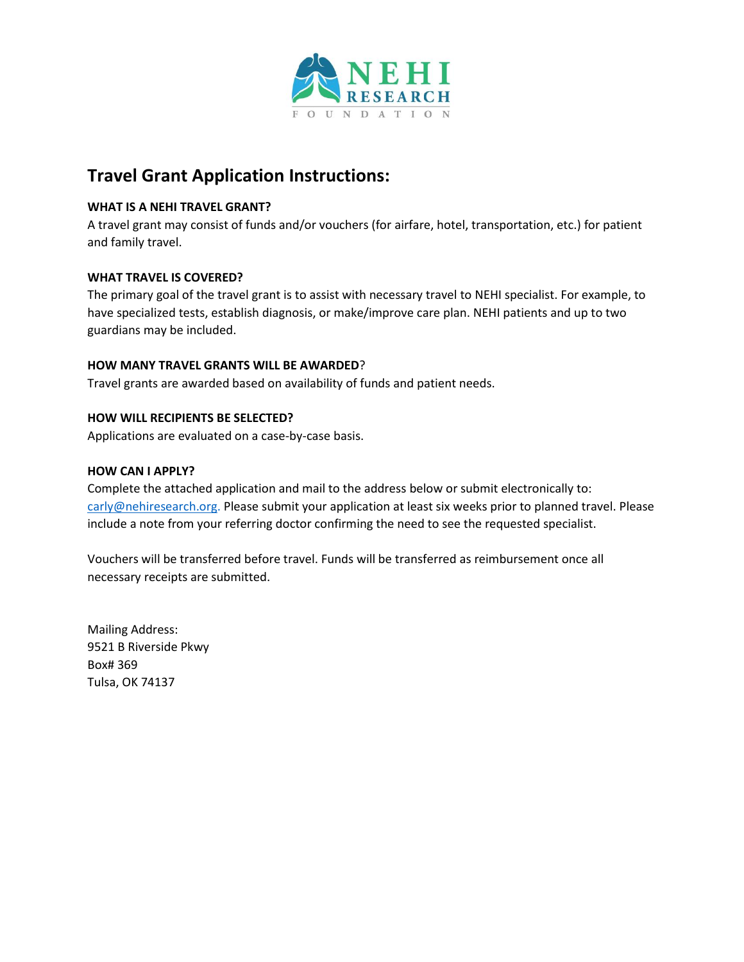

# **Travel Grant Application Instructions:**

## **WHAT IS A NEHI TRAVEL GRANT?**

A travel grant may consist of funds and/or vouchers (for airfare, hotel, transportation, etc.) for patient and family travel.

# **WHAT TRAVEL IS COVERED?**

The primary goal of the travel grant is to assist with necessary travel to NEHI specialist. For example, to have specialized tests, establish diagnosis, or make/improve care plan. NEHI patients and up to two guardians may be included.

#### **HOW MANY TRAVEL GRANTS WILL BE AWARDED**?

Travel grants are awarded based on availability of funds and patient needs.

### **HOW WILL RECIPIENTS BE SELECTED?**

Applications are evaluated on a case-by-case basis.

#### **HOW CAN I APPLY?**

Complete the attached application and mail to the address below or submit electronically to: [carly@nehiresearch.org.](mailto:carly@nehiresearch.org) Please submit your application at least six weeks prior to planned travel. Please include a note from your referring doctor confirming the need to see the requested specialist.

Vouchers will be transferred before travel. Funds will be transferred as reimbursement once all necessary receipts are submitted.

Mailing Address: 9521 B Riverside Pkwy Box# 369 Tulsa, OK 74137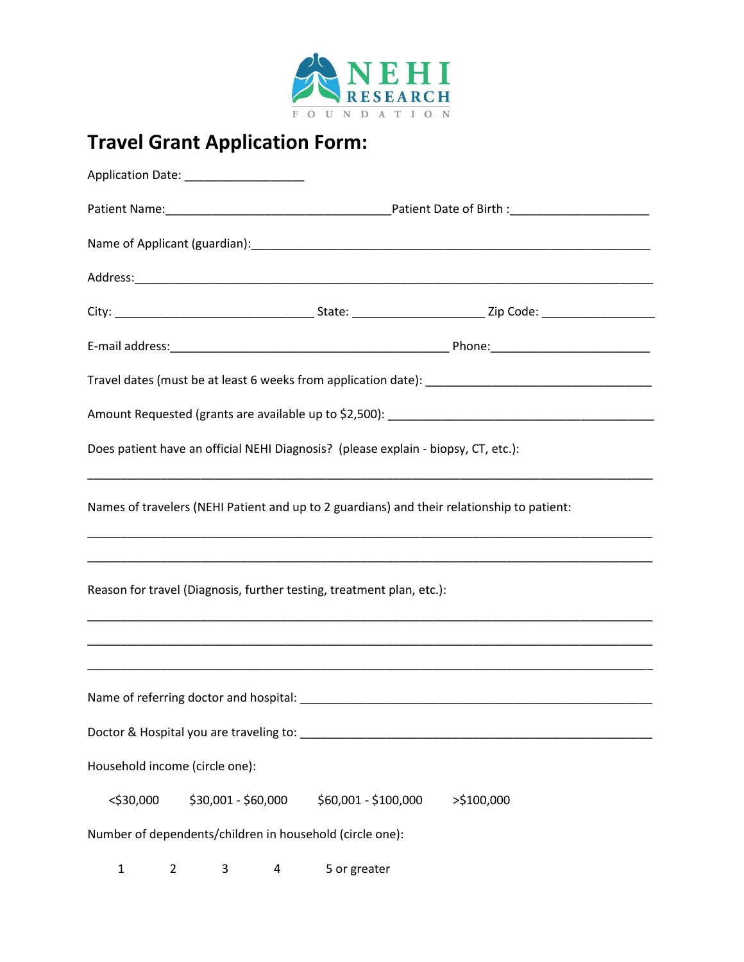

# **Travel Grant Application Form:**

|                                | Application Date: _____________________                  |                                                                                           |                                                                                                                                                                                |  |  |
|--------------------------------|----------------------------------------------------------|-------------------------------------------------------------------------------------------|--------------------------------------------------------------------------------------------------------------------------------------------------------------------------------|--|--|
|                                |                                                          |                                                                                           |                                                                                                                                                                                |  |  |
|                                |                                                          |                                                                                           |                                                                                                                                                                                |  |  |
|                                |                                                          |                                                                                           |                                                                                                                                                                                |  |  |
|                                |                                                          |                                                                                           |                                                                                                                                                                                |  |  |
|                                |                                                          |                                                                                           |                                                                                                                                                                                |  |  |
|                                |                                                          |                                                                                           |                                                                                                                                                                                |  |  |
|                                |                                                          |                                                                                           |                                                                                                                                                                                |  |  |
|                                |                                                          | Does patient have an official NEHI Diagnosis? (please explain - biopsy, CT, etc.):        |                                                                                                                                                                                |  |  |
|                                |                                                          |                                                                                           | Names of travelers (NEHI Patient and up to 2 guardians) and their relationship to patient:<br>,我们也不能在这里的时候,我们也不能在这里的时候,我们也不能在这里的时候,我们也不能会不能在这里的时候,我们也不能会不能会不能会不能会不能会不能会不能会不能会不 |  |  |
|                                |                                                          | Reason for travel (Diagnosis, further testing, treatment plan, etc.):                     |                                                                                                                                                                                |  |  |
|                                |                                                          |                                                                                           |                                                                                                                                                                                |  |  |
|                                |                                                          |                                                                                           |                                                                                                                                                                                |  |  |
|                                |                                                          | Doctor & Hospital you are traveling to: North Contractor Contractor Contractor Contractor |                                                                                                                                                                                |  |  |
| Household income (circle one): |                                                          |                                                                                           |                                                                                                                                                                                |  |  |
| $<$ \$30,000                   | \$30,001 - \$60,000                                      | \$60,001 - \$100,000                                                                      | >\$100,000                                                                                                                                                                     |  |  |
|                                | Number of dependents/children in household (circle one): |                                                                                           |                                                                                                                                                                                |  |  |

1 2 3 4 5 or greater